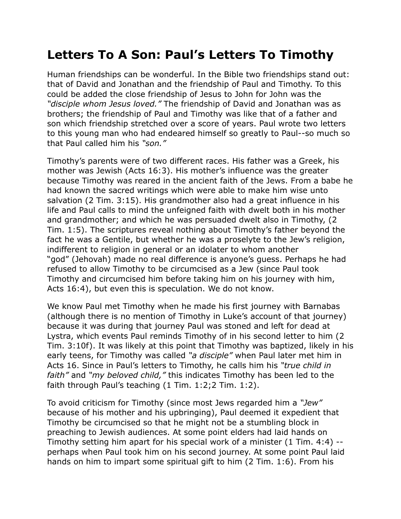## **Letters To A Son: Paul's Letters To Timothy**

Human friendships can be wonderful. In the Bible two friendships stand out: that of David and Jonathan and the friendship of Paul and Timothy. To this could be added the close friendship of Jesus to John for John was the *"disciple whom Jesus loved."* The friendship of David and Jonathan was as brothers; the friendship of Paul and Timothy was like that of a father and son which friendship stretched over a score of years. Paul wrote two letters to this young man who had endeared himself so greatly to Paul--so much so that Paul called him his *"son."*

Timothy's parents were of two different races. His father was a Greek, his mother was Jewish (Acts 16:3). His mother's influence was the greater because Timothy was reared in the ancient faith of the Jews. From a babe he had known the sacred writings which were able to make him wise unto salvation (2 Tim. 3:15). His grandmother also had a great influence in his life and Paul calls to mind the unfeigned faith with dwelt both in his mother and grandmother; and which he was persuaded dwelt also in Timothy, (2 Tim. 1:5). The scriptures reveal nothing about Timothy's father beyond the fact he was a Gentile, but whether he was a proselyte to the Jew's religion, indifferent to religion in general or an idolater to whom another "god" (Jehovah) made no real difference is anyone's guess. Perhaps he had refused to allow Timothy to be circumcised as a Jew (since Paul took Timothy and circumcised him before taking him on his journey with him, Acts 16:4), but even this is speculation. We do not know.

We know Paul met Timothy when he made his first journey with Barnabas (although there is no mention of Timothy in Luke's account of that journey) because it was during that journey Paul was stoned and left for dead at Lystra, which events Paul reminds Timothy of in his second letter to him (2 Tim. 3:10f). It was likely at this point that Timothy was baptized, likely in his early teens, for Timothy was called *"a disciple"* when Paul later met him in Acts 16. Since in Paul's letters to Timothy, he calls him his *"true child in faith"* and *"my beloved child,"* this indicates Timothy has been led to the faith through Paul's teaching (1 Tim. 1:2;2 Tim. 1:2).

To avoid criticism for Timothy (since most Jews regarded him a *"Jew"* because of his mother and his upbringing), Paul deemed it expedient that Timothy be circumcised so that he might not be a stumbling block in preaching to Jewish audiences. At some point elders had laid hands on Timothy setting him apart for his special work of a minister (1 Tim. 4:4) - perhaps when Paul took him on his second journey. At some point Paul laid hands on him to impart some spiritual gift to him (2 Tim. 1:6). From his